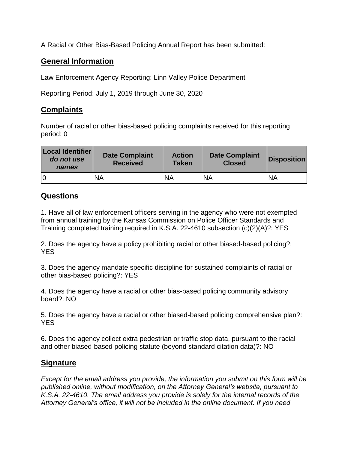A Racial or Other Bias-Based Policing Annual Report has been submitted:

## **General Information**

Law Enforcement Agency Reporting: Linn Valley Police Department

Reporting Period: July 1, 2019 through June 30, 2020

## **Complaints**

Number of racial or other bias-based policing complaints received for this reporting period: 0

| <b>Local Identifier</b><br>do not use<br>names | <b>Date Complaint</b><br><b>Received</b> | <b>Action</b><br><b>Taken</b> | <b>Date Complaint</b><br><b>Closed</b> | <b>Disposition</b> |
|------------------------------------------------|------------------------------------------|-------------------------------|----------------------------------------|--------------------|
|                                                | ΝA                                       | <b>NA</b>                     | <b>NA</b>                              | <b>NA</b>          |

## **Questions**

1. Have all of law enforcement officers serving in the agency who were not exempted from annual training by the Kansas Commission on Police Officer Standards and Training completed training required in K.S.A. 22-4610 subsection (c)(2)(A)?: YES

2. Does the agency have a policy prohibiting racial or other biased-based policing?: YES

3. Does the agency mandate specific discipline for sustained complaints of racial or other bias-based policing?: YES

4. Does the agency have a racial or other bias-based policing community advisory board?: NO

5. Does the agency have a racial or other biased-based policing comprehensive plan?: **YES** 

6. Does the agency collect extra pedestrian or traffic stop data, pursuant to the racial and other biased-based policing statute (beyond standard citation data)?: NO

## **Signature**

*Except for the email address you provide, the information you submit on this form will be published online, without modification, on the Attorney General's website, pursuant to K.S.A. 22-4610. The email address you provide is solely for the internal records of the Attorney General's office, it will not be included in the online document. If you need*